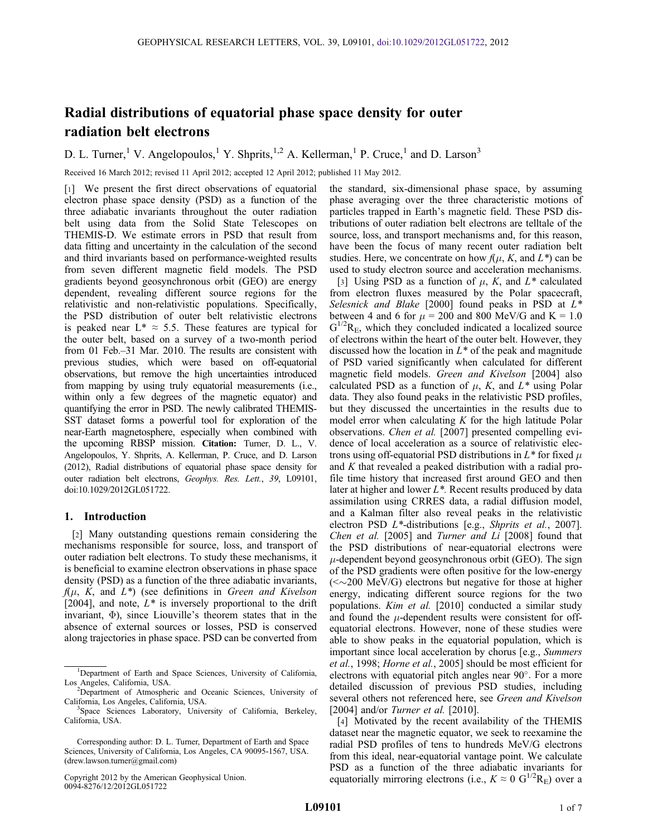# Radial distributions of equatorial phase space density for outer radiation belt electrons

D. L. Turner,<sup>1</sup> V. Angelopoulos,<sup>1</sup> Y. Shprits,<sup>1,2</sup> A. Kellerman,<sup>1</sup> P. Cruce,<sup>1</sup> and D. Larson<sup>3</sup>

Received 16 March 2012; revised 11 April 2012; accepted 12 April 2012; published 11 May 2012.

[1] We present the first direct observations of equatorial electron phase space density (PSD) as a function of the three adiabatic invariants throughout the outer radiation belt using data from the Solid State Telescopes on THEMIS-D. We estimate errors in PSD that result from data fitting and uncertainty in the calculation of the second and third invariants based on performance-weighted results from seven different magnetic field models. The PSD gradients beyond geosynchronous orbit (GEO) are energy dependent, revealing different source regions for the relativistic and non-relativistic populations. Specifically, the PSD distribution of outer belt relativistic electrons is peaked near  $L^* \approx 5.5$ . These features are typical for the outer belt, based on a survey of a two-month period from 01 Feb.–31 Mar. 2010. The results are consistent with previous studies, which were based on off-equatorial observations, but remove the high uncertainties introduced from mapping by using truly equatorial measurements (i.e., within only a few degrees of the magnetic equator) and quantifying the error in PSD. The newly calibrated THEMIS-SST dataset forms a powerful tool for exploration of the near-Earth magnetosphere, especially when combined with the upcoming RBSP mission. Citation: Turner, D. L., V. Angelopoulos, Y. Shprits, A. Kellerman, P. Cruce, and D. Larson (2012), Radial distributions of equatorial phase space density for outer radiation belt electrons, Geophys. Res. Lett., 39, L09101, doi:10.1029/2012GL051722.

## 1. Introduction

[2] Many outstanding questions remain considering the mechanisms responsible for source, loss, and transport of outer radiation belt electrons. To study these mechanisms, it is beneficial to examine electron observations in phase space density (PSD) as a function of the three adiabatic invariants,  $f(\mu, K, \text{ and } L^*)$  (see definitions in Green and Kivelson [2004], and note,  $L^*$  is inversely proportional to the drift invariant,  $\Phi$ ), since Liouville's theorem states that in the absence of external sources or losses, PSD is conserved along trajectories in phase space. PSD can be converted from

Copyright 2012 by the American Geophysical Union. 0094-8276/12/2012GL051722

the standard, six-dimensional phase space, by assuming phase averaging over the three characteristic motions of particles trapped in Earth's magnetic field. These PSD distributions of outer radiation belt electrons are telltale of the source, loss, and transport mechanisms and, for this reason, have been the focus of many recent outer radiation belt studies. Here, we concentrate on how  $f(\mu, K, \text{ and } L^*)$  can be used to study electron source and acceleration mechanisms.

[3] Using PSD as a function of  $\mu$ , K, and  $L^*$  calculated from electron fluxes measured by the Polar spacecraft, Selesnick and Blake [2000] found peaks in PSD at  $L^*$ between 4 and 6 for  $\mu = 200$  and 800 MeV/G and K = 1.0  $G^{1/2}R_E$ , which they concluded indicated a localized source of electrons within the heart of the outer belt. However, they discussed how the location in  $L^*$  of the peak and magnitude of PSD varied significantly when calculated for different magnetic field models. Green and Kivelson [2004] also calculated PSD as a function of  $\mu$ , K, and  $L^*$  using Polar data. They also found peaks in the relativistic PSD profiles, but they discussed the uncertainties in the results due to model error when calculating  $K$  for the high latitude Polar observations. Chen et al. [2007] presented compelling evidence of local acceleration as a source of relativistic electrons using off-equatorial PSD distributions in  $L^*$  for fixed  $\mu$ and K that revealed a peaked distribution with a radial profile time history that increased first around GEO and then later at higher and lower  $L^*$ . Recent results produced by data assimilation using CRRES data, a radial diffusion model, and a Kalman filter also reveal peaks in the relativistic electron PSD L<sup>\*</sup>-distributions [e.g., Shprits et al., 2007]. Chen et al. [2005] and Turner and Li [2008] found that the PSD distributions of near-equatorial electrons were  $\mu$ -dependent beyond geosynchronous orbit (GEO). The sign of the PSD gradients were often positive for the low-energy  $(<\sim$ 200 MeV/G) electrons but negative for those at higher energy, indicating different source regions for the two populations. Kim et al. [2010] conducted a similar study and found the  $\mu$ -dependent results were consistent for offequatorial electrons. However, none of these studies were able to show peaks in the equatorial population, which is important since local acceleration by chorus [e.g., Summers et al., 1998; Horne et al., 2005] should be most efficient for electrons with equatorial pitch angles near 90°. For a more detailed discussion of previous PSD studies, including several others not referenced here, see Green and Kivelson [2004] and/or *Turner et al.* [2010].

[4] Motivated by the recent availability of the THEMIS dataset near the magnetic equator, we seek to reexamine the radial PSD profiles of tens to hundreds MeV/G electrons from this ideal, near-equatorial vantage point. We calculate PSD as a function of the three adiabatic invariants for equatorially mirroring electrons (i.e.,  $K \approx 0 \text{ G}^{1/2} \text{R}_{\text{E}}$ ) over a

<sup>&</sup>lt;sup>1</sup>Department of Earth and Space Sciences, University of California, Los Angeles, California, USA. <sup>2</sup>

<sup>&</sup>lt;sup>2</sup>Department of Atmospheric and Oceanic Sciences, University of California, Los Angeles, California, USA. <sup>3</sup>

<sup>&</sup>lt;sup>3</sup>Space Sciences Laboratory, University of California, Berkeley, California, USA.

Corresponding author: D. L. Turner, Department of Earth and Space Sciences, University of California, Los Angeles, CA 90095-1567, USA. (drew.lawson.turner@gmail.com)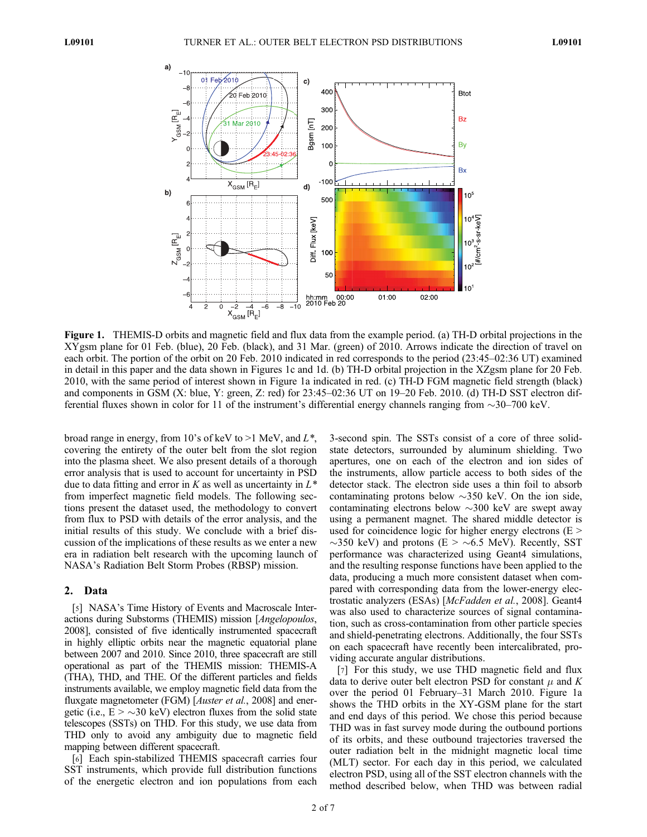

Figure 1. THEMIS-D orbits and magnetic field and flux data from the example period. (a) TH-D orbital projections in the XYgsm plane for 01 Feb. (blue), 20 Feb. (black), and 31 Mar. (green) of 2010. Arrows indicate the direction of travel on each orbit. The portion of the orbit on 20 Feb. 2010 indicated in red corresponds to the period (23:45–02:36 UT) examined in detail in this paper and the data shown in Figures 1c and 1d. (b) TH-D orbital projection in the XZgsm plane for 20 Feb. 2010, with the same period of interest shown in Figure 1a indicated in red. (c) TH-D FGM magnetic field strength (black) and components in GSM (X: blue, Y: green, Z: red) for 23:45–02:36 UT on 19–20 Feb. 2010. (d) TH-D SST electron differential fluxes shown in color for 11 of the instrument's differential energy channels ranging from  $\sim$ 30–700 keV.

broad range in energy, from 10's of keV to  $>1$  MeV, and  $L^*$ , covering the entirety of the outer belt from the slot region into the plasma sheet. We also present details of a thorough error analysis that is used to account for uncertainty in PSD due to data fitting and error in K as well as uncertainty in  $L^*$ from imperfect magnetic field models. The following sections present the dataset used, the methodology to convert from flux to PSD with details of the error analysis, and the initial results of this study. We conclude with a brief discussion of the implications of these results as we enter a new era in radiation belt research with the upcoming launch of NASA's Radiation Belt Storm Probes (RBSP) mission.

## 2. Data

[5] NASA's Time History of Events and Macroscale Interactions during Substorms (THEMIS) mission [Angelopoulos, 2008], consisted of five identically instrumented spacecraft in highly elliptic orbits near the magnetic equatorial plane between 2007 and 2010. Since 2010, three spacecraft are still operational as part of the THEMIS mission: THEMIS-A (THA), THD, and THE. Of the different particles and fields instruments available, we employ magnetic field data from the fluxgate magnetometer (FGM) [*Auster et al.*, 2008] and energetic (i.e.,  $E > \sim 30$  keV) electron fluxes from the solid state telescopes (SSTs) on THD. For this study, we use data from THD only to avoid any ambiguity due to magnetic field mapping between different spacecraft.

[6] Each spin-stabilized THEMIS spacecraft carries four SST instruments, which provide full distribution functions of the energetic electron and ion populations from each

3-second spin. The SSTs consist of a core of three solidstate detectors, surrounded by aluminum shielding. Two apertures, one on each of the electron and ion sides of the instruments, allow particle access to both sides of the detector stack. The electron side uses a thin foil to absorb contaminating protons below  $\sim$ 350 keV. On the ion side, contaminating electrons below  $\sim$ 300 keV are swept away using a permanent magnet. The shared middle detector is used for coincidence logic for higher energy electrons  $(E >$  $\sim$ 350 keV) and protons (E  $>$   $\sim$  6.5 MeV). Recently, SST performance was characterized using Geant4 simulations, and the resulting response functions have been applied to the data, producing a much more consistent dataset when compared with corresponding data from the lower-energy electrostatic analyzers (ESAs) [McFadden et al., 2008]. Geant4 was also used to characterize sources of signal contamination, such as cross-contamination from other particle species and shield-penetrating electrons. Additionally, the four SSTs on each spacecraft have recently been intercalibrated, providing accurate angular distributions.

[7] For this study, we use THD magnetic field and flux data to derive outer belt electron PSD for constant  $\mu$  and K over the period 01 February–31 March 2010. Figure 1a shows the THD orbits in the XY-GSM plane for the start and end days of this period. We chose this period because THD was in fast survey mode during the outbound portions of its orbits, and these outbound trajectories traversed the outer radiation belt in the midnight magnetic local time (MLT) sector. For each day in this period, we calculated electron PSD, using all of the SST electron channels with the method described below, when THD was between radial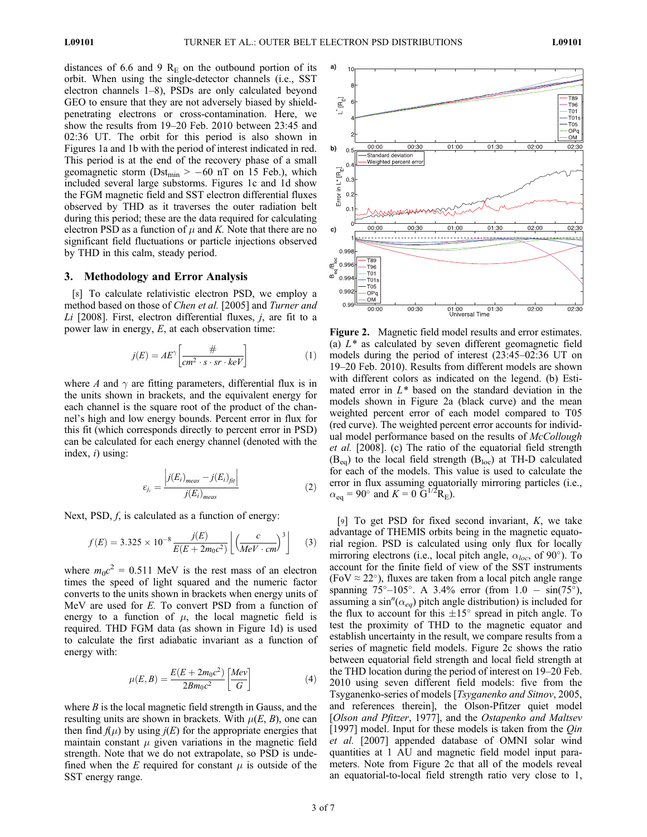distances of 6.6 and 9  $R<sub>E</sub>$  on the outbound portion of its orbit. When using the single-detector channels (i.e., SST electron channels 1–8), PSDs are only calculated beyond GEO to ensure that they are not adversely biased by shieldpenetrating electrons or cross-contamination. Here, we show the results from 19–20 Feb. 2010 between 23:45 and 02:36 UT. The orbit for this period is also shown in Figures 1a and 1b with the period of interest indicated in red. This period is at the end of the recovery phase of a small geomagnetic storm (Dst<sub>min</sub> > -60 nT on 15 Feb.), which included several large substorms. Figures 1c and 1d show the FGM magnetic field and SST electron differential fluxes observed by THD as it traverses the outer radiation belt during this period; these are the data required for calculating electron PSD as a function of  $\mu$  and K. Note that there are no significant field fluctuations or particle injections observed by THD in this calm, steady period.

## 3. Methodology and Error Analysis

[8] To calculate relativistic electron PSD, we employ a method based on those of Chen et al. [2005] and Turner and Li [2008]. First, electron differential fluxes,  $j$ , are fit to a power law in energy, E, at each observation time:

$$
j(E) = AE^{\gamma} \left[ \frac{\#}{cm^2 \cdot s \cdot sr \cdot keV} \right]
$$
 (1)

where A and  $\gamma$  are fitting parameters, differential flux is in the units shown in brackets, and the equivalent energy for each channel is the square root of the product of the channel's high and low energy bounds. Percent error in flux for this fit (which corresponds directly to percent error in PSD) can be calculated for each energy channel (denoted with the index,  $i)$  using:

$$
\varepsilon_{j_i} = \frac{\left|j(E_i)_{meas} - j(E_i)_{\text{fit}}\right|}{j(E_i)_{meas}}\tag{2}
$$

Next, PSD,  $f$ , is calculated as a function of energy:

$$
f(E) = 3.325 \times 10^{-8} \frac{j(E)}{E(E + 2m_0c^2)} \left[ \left( \frac{c}{MeV \cdot cm} \right)^3 \right] \tag{3}
$$

where  $m_0c^2 = 0.511$  MeV is the rest mass of an electron times the speed of light squared and the numeric factor converts to the units shown in brackets when energy units of MeV are used for E. To convert PSD from a function of energy to a function of  $\mu$ , the local magnetic field is required. THD FGM data (as shown in Figure 1d) is used to calculate the first adiabatic invariant as a function of energy with:

$$
\mu(E,B) = \frac{E(E + 2m_0c^2)}{2Bm_0c^2} \left[\frac{Mev}{G}\right]
$$
\n(4)

where  $B$  is the local magnetic field strength in Gauss, and the resulting units are shown in brackets. With  $\mu(E, B)$ , one can then find  $f(\mu)$  by using  $j(E)$  for the appropriate energies that maintain constant  $\mu$  given variations in the magnetic field strength. Note that we do not extrapolate, so PSD is undefined when the E required for constant  $\mu$  is outside of the SST energy range.



Figure 2. Magnetic field model results and error estimates. (a)  $L^*$  as calculated by seven different geomagnetic field models during the period of interest (23:45–02:36 UT on 19–20 Feb. 2010). Results from different models are shown with different colors as indicated on the legend. (b) Estimated error in  $L^*$  based on the standard deviation in the models shown in Figure 2a (black curve) and the mean weighted percent error of each model compared to T05 (red curve). The weighted percent error accounts for individual model performance based on the results of McCollough et al. [2008]. (c) The ratio of the equatorial field strength  $(B_{eq})$  to the local field strength  $(B_{loc})$  at TH-D calculated for each of the models. This value is used to calculate the error in flux assuming equatorially mirroring particles (i.e.,  $\alpha_{\text{eq}} = 90^{\circ}$  and  $K = 0 \ \text{G}^{1/2} \text{R}_{\text{E}}$ ).

[9] To get PSD for fixed second invariant,  $K$ , we take advantage of THEMIS orbits being in the magnetic equatorial region. PSD is calculated using only flux for locally mirroring electrons (i.e., local pitch angle,  $\alpha_{loc}$ , of 90°). To account for the finite field of view of the SST instruments  $(FoV \approx 22^{\circ})$ , fluxes are taken from a local pitch angle range spanning 75°–105°. A 3.4% error (from  $1.0 - \sin(75^{\circ})$ , assuming a sin<sup>n</sup>( $\alpha_{eq}$ ) pitch angle distribution) is included for<br>the flux to account for this +15° spread in pitch angle. To the flux to account for this  $\pm 15^\circ$  spread in pitch angle. To test the proximity of THD to the magnetic equator and establish uncertainty in the result, we compare results from a series of magnetic field models. Figure 2c shows the ratio between equatorial field strength and local field strength at the THD location during the period of interest on 19–20 Feb. 2010 using seven different field models: five from the Tsyganenko-series of models [Tsyganenko and Sitnov, 2005, and references therein], the Olson-Pfitzer quiet model [Olson and Pfitzer, 1977], and the Ostapenko and Maltsev [1997] model. Input for these models is taken from the  $Q$ *in* et al. [2007] appended database of OMNI solar wind quantities at 1 AU and magnetic field model input parameters. Note from Figure 2c that all of the models reveal an equatorial-to-local field strength ratio very close to 1,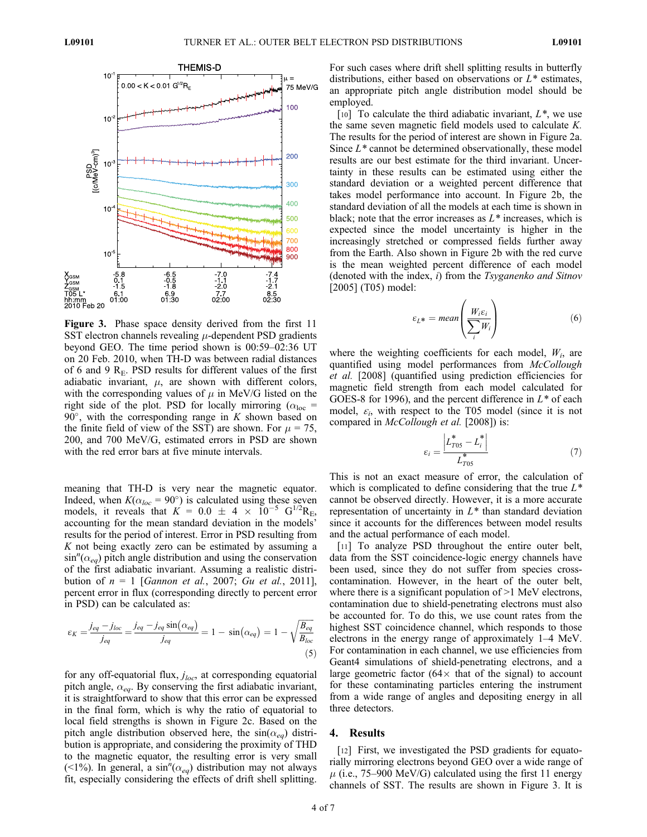

Figure 3. Phase space density derived from the first 11 SST electron channels revealing  $\mu$ -dependent PSD gradients beyond GEO. The time period shown is 00:59–02:36 UT on 20 Feb. 2010, when TH-D was between radial distances of 6 and 9  $R<sub>E</sub>$ . PSD results for different values of the first adiabatic invariant,  $\mu$ , are shown with different colors, with the corresponding values of  $\mu$  in MeV/G listed on the right side of the plot. PSD for locally mirroring ( $\alpha_{loc}$  =  $90^\circ$ , with the corresponding range in K shown based on the finite field of view of the SST) are shown. For  $\mu = 75$ , 200, and 700 MeV/G, estimated errors in PSD are shown with the red error bars at five minute intervals.

meaning that TH-D is very near the magnetic equator. Indeed, when  $K(\alpha_{loc} = 90^{\circ})$  is calculated using these seven models, it reveals that  $K = 0.0 \pm 4 \times 10^{-5} \text{ G}^{1/2} \text{R}_{\text{E}}$ , accounting for the mean standard deviation in the models' results for the period of interest. Error in PSD resulting from  $K$  not being exactly zero can be estimated by assuming a  $\sin^{n}(\alpha_{eq})$  pitch angle distribution and using the conservation<br>of the first adiabatic invariant. Assuming a realistic distriof the first adiabatic invariant. Assuming a realistic distribution of  $n = 1$  [Gannon et al., 2007; Gu et al., 2011], percent error in flux (corresponding directly to percent error in PSD) can be calculated as:

$$
\varepsilon_K = \frac{j_{eq} - j_{loc}}{j_{eq}} = \frac{j_{eq} - j_{eq} \sin(\alpha_{eq})}{j_{eq}} = 1 - \sin(\alpha_{eq}) = 1 - \sqrt{\frac{B_{eq}}{B_{loc}}}
$$
(5)

for any off-equatorial flux,  $j_{loc}$ , at corresponding equatorial pitch angle,  $\alpha_{eq}$ . By conserving the first adiabatic invariant, it is straightforward to show that this error can be expressed in the final form, which is why the ratio of equatorial to local field strengths is shown in Figure 2c. Based on the pitch angle distribution observed here, the  $sin(\alpha_{eq})$  distribution is appropriate, and considering the proximity of THD to the magnetic equator, the resulting error is very small (<1%). In general, a sin<sup>'*i*</sup>( $\alpha_{eq}$ ) distribution may not always fit especially considering the effects of drift shell splitting fit, especially considering the effects of drift shell splitting.

For such cases where drift shell splitting results in butterfly distributions, either based on observations or  $L^*$  estimates, an appropriate pitch angle distribution model should be employed.

[10] To calculate the third adiabatic invariant,  $L^*$ , we use the same seven magnetic field models used to calculate K. The results for the period of interest are shown in Figure 2a. Since  $L^*$  cannot be determined observationally, these model results are our best estimate for the third invariant. Uncertainty in these results can be estimated using either the standard deviation or a weighted percent difference that takes model performance into account. In Figure 2b, the standard deviation of all the models at each time is shown in black; note that the error increases as  $L^*$  increases, which is expected since the model uncertainty is higher in the increasingly stretched or compressed fields further away from the Earth. Also shown in Figure 2b with the red curve is the mean weighted percent difference of each model (denoted with the index,  $i$ ) from the Tsyganenko and Sitnov [2005] (T05) model:

$$
\varepsilon_{L^*} = mean\left(\frac{W_i \varepsilon_i}{\sum_i W_i}\right) \tag{6}
$$

where the weighting coefficients for each model,  $W_i$ , are quantified using model performances from McCollough et al. [2008] (quantified using prediction efficiencies for magnetic field strength from each model calculated for GOES-8 for 1996), and the percent difference in  $L^*$  of each model,  $\varepsilon_i$ , with respect to the T05 model (since it is not compared in McCollough et al. [2008]) is:

$$
\varepsilon_i = \frac{\left| L_{T05}^* - L_i^* \right|}{L_{T05}^*} \tag{7}
$$

This is not an exact measure of error, the calculation of which is complicated to define considering that the true  $L^*$ cannot be observed directly. However, it is a more accurate representation of uncertainty in  $L^*$  than standard deviation since it accounts for the differences between model results and the actual performance of each model.

[11] To analyze PSD throughout the entire outer belt, data from the SST coincidence-logic energy channels have been used, since they do not suffer from species crosscontamination. However, in the heart of the outer belt, where there is a significant population of >1 MeV electrons, contamination due to shield-penetrating electrons must also be accounted for. To do this, we use count rates from the highest SST coincidence channel, which responds to those electrons in the energy range of approximately 1–4 MeV. For contamination in each channel, we use efficiencies from Geant4 simulations of shield-penetrating electrons, and a large geometric factor ( $64 \times$  that of the signal) to account for these contaminating particles entering the instrument from a wide range of angles and depositing energy in all three detectors.

#### 4. Results

[12] First, we investigated the PSD gradients for equatorially mirroring electrons beyond GEO over a wide range of  $\mu$  (i.e., 75–900 MeV/G) calculated using the first 11 energy channels of SST. The results are shown in Figure 3. It is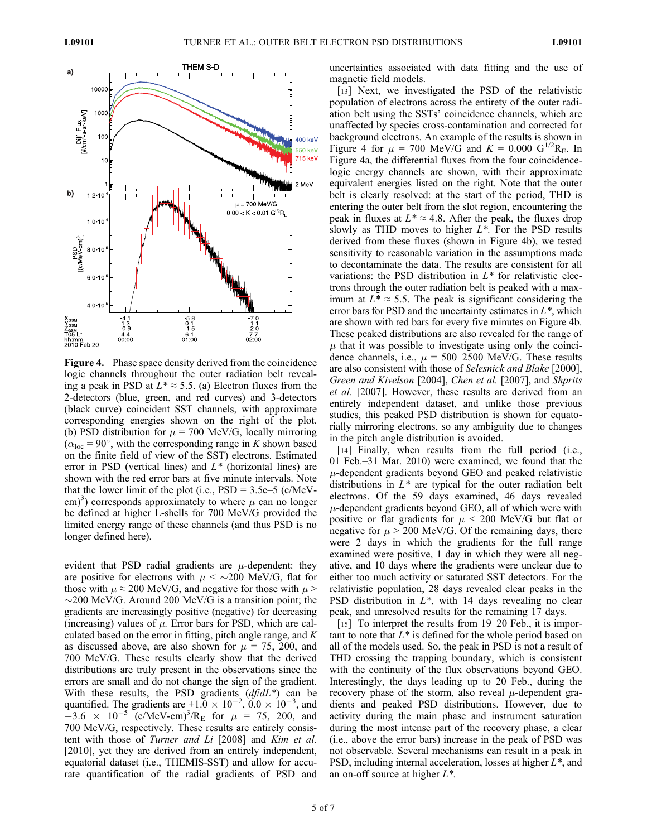

Figure 4. Phase space density derived from the coincidence logic channels throughout the outer radiation belt revealing a peak in PSD at  $L^* \approx 5.5$ . (a) Electron fluxes from the 2-detectors (blue, green, and red curves) and 3-detectors (black curve) coincident SST channels, with approximate corresponding energies shown on the right of the plot. (b) PSD distribution for  $\mu$  = 700 MeV/G, locally mirroring  $(\alpha_{loc} = 90^{\circ}$ , with the corresponding range in K shown based on the finite field of view of the SST) electrons. Estimated error in PSD (vertical lines) and  $L^*$  (horizontal lines) are shown with the red error bars at five minute intervals. Note that the lower limit of the plot (i.e.,  $PSD = 3.5e-5$  (c/MeVcm)<sup>3</sup>) corresponds approximately to where  $\mu$  can no longer<br>be defined at higher I -shells for 700 MeV/G provided the be defined at higher L-shells for 700 MeV/G provided the limited energy range of these channels (and thus PSD is no longer defined here).

evident that PSD radial gradients are  $\mu$ -dependent: they are positive for electrons with  $\mu$  <  $\sim$  200 MeV/G, flat for those with  $\mu \approx 200$  MeV/G, and negative for those with  $\mu$  >  $\sim$ 200 MeV/G. Around 200 MeV/G is a transition point; the gradients are increasingly positive (negative) for decreasing (increasing) values of  $\mu$ . Error bars for PSD, which are calculated based on the error in fitting, pitch angle range, and  $K$ as discussed above, are also shown for  $\mu = 75$ , 200, and 700 MeV/G. These results clearly show that the derived distributions are truly present in the observations since the errors are small and do not change the sign of the gradient. With these results, the PSD gradients  $(df/dL^*)$  can be quantified. The gradients are +1.0  $\times$  10<sup>-2</sup>, 0.0  $\times$  10<sup>-3</sup>, and  $-3.6 \times 10^{-5}$  (c/MeV-cm)<sup>3</sup>/R<sub>E</sub> for  $\mu = 75$ , 200, and 700 MeV/G respectively. These results are entirely consis-700 MeV/G, respectively. These results are entirely consistent with those of Turner and Li [2008] and Kim et al. [2010], yet they are derived from an entirely independent, equatorial dataset (i.e., THEMIS-SST) and allow for accurate quantification of the radial gradients of PSD and uncertainties associated with data fitting and the use of magnetic field models.

[13] Next, we investigated the PSD of the relativistic population of electrons across the entirety of the outer radiation belt using the SSTs' coincidence channels, which are unaffected by species cross-contamination and corrected for background electrons. An example of the results is shown in Figure 4 for  $\mu = 700 \text{ MeV/G}$  and  $K = 0.000 \text{ G}^{1/2}R_{\text{E}}$ . In Figure 4a, the differential fluxes from the four coincidencelogic energy channels are shown, with their approximate equivalent energies listed on the right. Note that the outer belt is clearly resolved: at the start of the period, THD is entering the outer belt from the slot region, encountering the peak in fluxes at  $L^* \approx 4.8$ . After the peak, the fluxes drop slowly as THD moves to higher  $L^*$ . For the PSD results derived from these fluxes (shown in Figure 4b), we tested sensitivity to reasonable variation in the assumptions made to decontaminate the data. The results are consistent for all variations: the PSD distribution in  $L^*$  for relativistic electrons through the outer radiation belt is peaked with a maximum at  $L^* \approx 5.5$ . The peak is significant considering the error bars for PSD and the uncertainty estimates in  $L^*$ , which are shown with red bars for every five minutes on Figure 4b. These peaked distributions are also revealed for the range of  $\mu$  that it was possible to investigate using only the coincidence channels, i.e.,  $\mu = 500-2500$  MeV/G. These results are also consistent with those of Selesnick and Blake [2000], Green and Kivelson [2004], Chen et al. [2007], and Shprits et al. [2007]. However, these results are derived from an entirely independent dataset, and unlike those previous studies, this peaked PSD distribution is shown for equatorially mirroring electrons, so any ambiguity due to changes in the pitch angle distribution is avoided.

[14] Finally, when results from the full period (i.e., 01 Feb.–31 Mar. 2010) were examined, we found that the  $\mu$ -dependent gradients beyond GEO and peaked relativistic distributions in  $L^*$  are typical for the outer radiation belt electrons. Of the 59 days examined, 46 days revealed  $\mu$ -dependent gradients beyond GEO, all of which were with positive or flat gradients for  $\mu$  < 200 MeV/G but flat or negative for  $\mu$  > 200 MeV/G. Of the remaining days, there were 2 days in which the gradients for the full range examined were positive, 1 day in which they were all negative, and 10 days where the gradients were unclear due to either too much activity or saturated SST detectors. For the relativistic population, 28 days revealed clear peaks in the PSD distribution in  $L^*$ , with 14 days revealing no clear peak, and unresolved results for the remaining 17 days.

[15] To interpret the results from 19–20 Feb., it is important to note that  $L^*$  is defined for the whole period based on all of the models used. So, the peak in PSD is not a result of THD crossing the trapping boundary, which is consistent with the continuity of the flux observations beyond GEO. Interestingly, the days leading up to 20 Feb., during the recovery phase of the storm, also reveal  $\mu$ -dependent gradients and peaked PSD distributions. However, due to activity during the main phase and instrument saturation during the most intense part of the recovery phase, a clear (i.e., above the error bars) increase in the peak of PSD was not observable. Several mechanisms can result in a peak in PSD, including internal acceleration, losses at higher  $L^*$ , and an on-off source at higher  $L^*$ .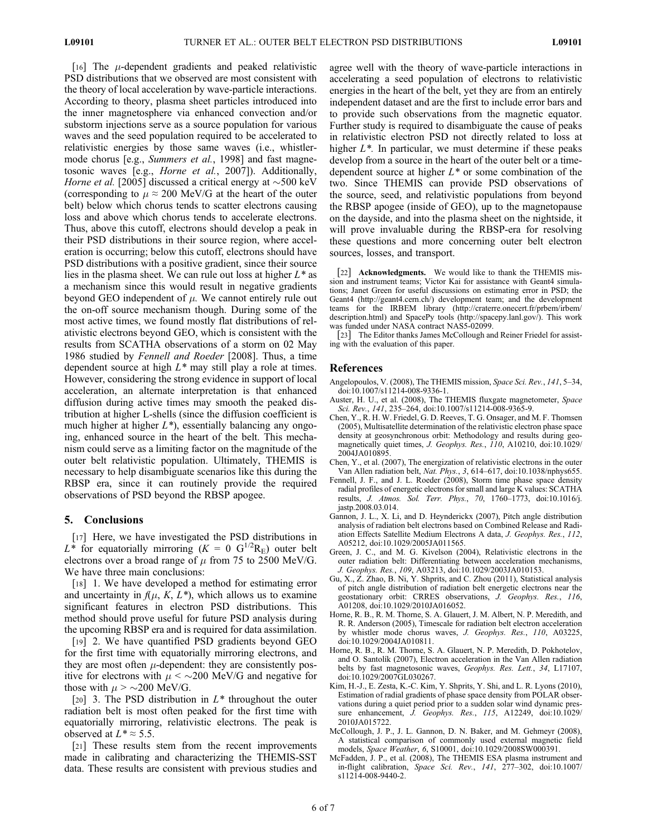[16] The  $\mu$ -dependent gradients and peaked relativistic PSD distributions that we observed are most consistent with the theory of local acceleration by wave-particle interactions. According to theory, plasma sheet particles introduced into the inner magnetosphere via enhanced convection and/or substorm injections serve as a source population for various waves and the seed population required to be accelerated to relativistic energies by those same waves (i.e., whistlermode chorus [e.g., *Summers et al.*, 1998] and fast magnetosonic waves [e.g., Horne et al., 2007]). Additionally, Horne et al. [2005] discussed a critical energy at  $\sim$  500 keV (corresponding to  $\mu \approx 200$  MeV/G at the heart of the outer belt) below which chorus tends to scatter electrons causing loss and above which chorus tends to accelerate electrons. Thus, above this cutoff, electrons should develop a peak in their PSD distributions in their source region, where acceleration is occurring; below this cutoff, electrons should have PSD distributions with a positive gradient, since their source lies in the plasma sheet. We can rule out loss at higher  $L^*$  as a mechanism since this would result in negative gradients beyond GEO independent of  $\mu$ . We cannot entirely rule out the on-off source mechanism though. During some of the most active times, we found mostly flat distributions of relativistic electrons beyond GEO, which is consistent with the results from SCATHA observations of a storm on 02 May 1986 studied by Fennell and Roeder [2008]. Thus, a time dependent source at high  $L^*$  may still play a role at times. However, considering the strong evidence in support of local acceleration, an alternate interpretation is that enhanced diffusion during active times may smooth the peaked distribution at higher L-shells (since the diffusion coefficient is much higher at higher  $L^*$ ), essentially balancing any ongoing, enhanced source in the heart of the belt. This mechanism could serve as a limiting factor on the magnitude of the outer belt relativistic population. Ultimately, THEMIS is necessary to help disambiguate scenarios like this during the RBSP era, since it can routinely provide the required observations of PSD beyond the RBSP apogee.

#### 5. Conclusions

[17] Here, we have investigated the PSD distributions in  $L^*$  for equatorially mirroring  $(K = 0 \text{ G}^{1/2}R_E)$  outer belt electrons over a broad range of  $\mu$  from 75 to 2500 MeV/G. We have three main conclusions:

[18] 1. We have developed a method for estimating error and uncertainty in  $f(\mu, K, L^*)$ , which allows us to examine significant features in electron PSD distributions. This method should prove useful for future PSD analysis during the upcoming RBSP era and is required for data assimilation.

[19] 2. We have quantified PSD gradients beyond GEO for the first time with equatorially mirroring electrons, and they are most often  $\mu$ -dependent: they are consistently positive for electrons with  $\mu$  <  $\sim$  200 MeV/G and negative for those with  $\mu$  >  $\sim$ 200 MeV/G.

[20] 3. The PSD distribution in  $L^*$  throughout the outer radiation belt is most often peaked for the first time with equatorially mirroring, relativistic electrons. The peak is observed at  $L^* \approx 5.5$ .

[21] These results stem from the recent improvements made in calibrating and characterizing the THEMIS-SST data. These results are consistent with previous studies and agree well with the theory of wave-particle interactions in accelerating a seed population of electrons to relativistic energies in the heart of the belt, yet they are from an entirely independent dataset and are the first to include error bars and to provide such observations from the magnetic equator. Further study is required to disambiguate the cause of peaks in relativistic electron PSD not directly related to loss at higher  $L^*$ . In particular, we must determine if these peaks develop from a source in the heart of the outer belt or a timedependent source at higher  $L^*$  or some combination of the two. Since THEMIS can provide PSD observations of the source, seed, and relativistic populations from beyond the RBSP apogee (inside of GEO), up to the magnetopause on the dayside, and into the plasma sheet on the nightside, it will prove invaluable during the RBSP-era for resolving these questions and more concerning outer belt electron sources, losses, and transport.

[22] Acknowledgments. We would like to thank the THEMIS mission and instrument teams; Victor Kai for assistance with Geant4 simulations; Janet Green for useful discussions on estimating error in PSD; the Geant4 (http://geant4.cern.ch/) development team; and the development teams for the IRBEM library (http://craterre.onecert.fr/prbem/irbem/ description.html) and SpacePy tools (http://spacepy.lanl.gov/). This work was funded under NASA contract NAS5-02099.

[23] The Editor thanks James McCollough and Reiner Friedel for assisting with the evaluation of this paper.

#### References

- Angelopoulos, V. (2008), The THEMIS mission, Space Sci. Rev., 141, 5–34, doi:10.1007/s11214-008-9336-1.
- Auster, H. U., et al. (2008), The THEMIS fluxgate magnetometer, Space Sci. Rev., 141, 235-264, doi:10.1007/s11214-008-9365-9.
- Chen, Y., R. H. W. Friedel, G. D. Reeves, T. G. Onsager, and M. F. Thomsen (2005), Multisatellite determination of the relativistic electron phase space density at geosynchronous orbit: Methodology and results during geomagnetically quiet times, J. Geophys. Res., 110, A10210, doi:10.1029/ 2004JA010895.
- Chen, Y., et al. (2007), The energization of relativistic electrons in the outer Van Allen radiation belt, Nat. Phys., 3, 614–617, doi:10.1038/nphys655.
- Fennell, J. F., and J. L. Roeder (2008), Storm time phase space density radial profiles of energetic electrons for small and large K values: SCATHA results, J. Atmos. Sol. Terr. Phys., 70, 1760–1773, doi:10.1016/j. jastp.2008.03.014.
- Gannon, J. L., X. Li, and D. Heynderickx (2007), Pitch angle distribution analysis of radiation belt electrons based on Combined Release and Radiation Effects Satellite Medium Electrons A data, J. Geophys. Res., 112, A05212, doi:10.1029/2005JA011565.
- Green, J. C., and M. G. Kivelson (2004), Relativistic electrons in the outer radiation belt: Differentiating between acceleration mechanisms, J. Geophys. Res., 109, A03213, doi:10.1029/2003JA010153.
- Gu, X., Z. Zhao, B. Ni, Y. Shprits, and C. Zhou (2011), Statistical analysis of pitch angle distribution of radiation belt energetic electrons near the geostationary orbit: CRRES observations, J. Geophys. Res., 116, A01208, doi:10.1029/2010JA016052.
- Horne, R. B., R. M. Thorne, S. A. Glauert, J. M. Albert, N. P. Meredith, and R. R. Anderson (2005), Timescale for radiation belt electron acceleration by whistler mode chorus waves, J. Geophys. Res., 110, A03225, doi:10.1029/2004JA010811.
- Horne, R. B., R. M. Thorne, S. A. Glauert, N. P. Meredith, D. Pokhotelov, and O. Santolík (2007), Electron acceleration in the Van Allen radiation belts by fast magnetosonic waves, Geophys. Res. Lett., 34, L17107, doi:10.1029/2007GL030267.
- Kim, H.-J., E. Zesta, K.-C. Kim, Y. Shprits, Y. Shi, and L. R. Lyons (2010), Estimation of radial gradients of phase space density from POLAR observations during a quiet period prior to a sudden solar wind dynamic pressure enhancement, *J. Geophys. Res.*, 115, A12249, doi:10.1029/ 2010JA015722.
- McCollough, J. P., J. L. Gannon, D. N. Baker, and M. Gehmeyr (2008), A statistical comparison of commonly used external magnetic field models, Space Weather, 6, S10001, doi:10.1029/2008SW000391.
- McFadden, J. P., et al. (2008), The THEMIS ESA plasma instrument and in-flight calibration, Space Sci. Rev., 141, 277–302, doi:10.1007/ s11214-008-9440-2.